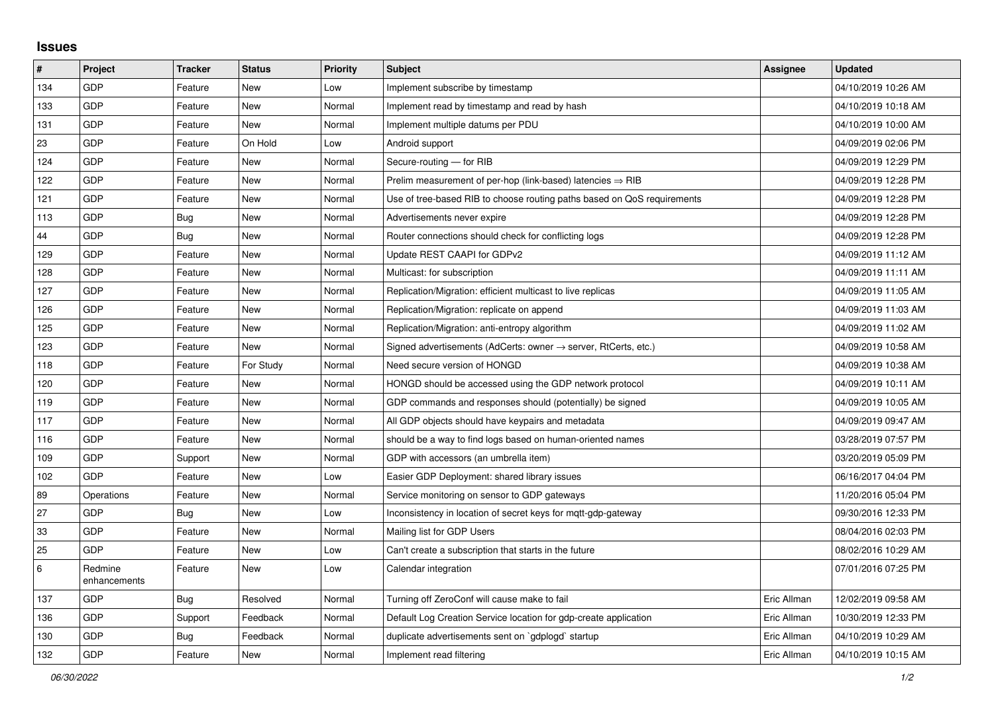## **Issues**

| #   | Project                 | <b>Tracker</b> | <b>Status</b> | Priority | <b>Subject</b>                                                             | Assignee    | <b>Updated</b>      |
|-----|-------------------------|----------------|---------------|----------|----------------------------------------------------------------------------|-------------|---------------------|
| 134 | GDP                     | Feature        | <b>New</b>    | Low      | Implement subscribe by timestamp                                           |             | 04/10/2019 10:26 AM |
| 133 | GDP                     | Feature        | <b>New</b>    | Normal   | Implement read by timestamp and read by hash                               |             | 04/10/2019 10:18 AM |
| 131 | GDP                     | Feature        | <b>New</b>    | Normal   | Implement multiple datums per PDU                                          |             | 04/10/2019 10:00 AM |
| 23  | GDP                     | Feature        | On Hold       | Low      | Android support                                                            |             | 04/09/2019 02:06 PM |
| 124 | GDP                     | Feature        | <b>New</b>    | Normal   | Secure-routing - for RIB                                                   |             | 04/09/2019 12:29 PM |
| 122 | GDP                     | Feature        | <b>New</b>    | Normal   | Prelim measurement of per-hop (link-based) latencies $\Rightarrow$ RIB     |             | 04/09/2019 12:28 PM |
| 121 | GDP                     | Feature        | New           | Normal   | Use of tree-based RIB to choose routing paths based on QoS requirements    |             | 04/09/2019 12:28 PM |
| 113 | GDP                     | Bug            | <b>New</b>    | Normal   | Advertisements never expire                                                |             | 04/09/2019 12:28 PM |
| 44  | GDP                     | <b>Bug</b>     | <b>New</b>    | Normal   | Router connections should check for conflicting logs                       |             | 04/09/2019 12:28 PM |
| 129 | GDP                     | Feature        | <b>New</b>    | Normal   | Update REST CAAPI for GDPv2                                                |             | 04/09/2019 11:12 AM |
| 128 | GDP                     | Feature        | <b>New</b>    | Normal   | Multicast: for subscription                                                |             | 04/09/2019 11:11 AM |
| 127 | GDP                     | Feature        | <b>New</b>    | Normal   | Replication/Migration: efficient multicast to live replicas                |             | 04/09/2019 11:05 AM |
| 126 | GDP                     | Feature        | <b>New</b>    | Normal   | Replication/Migration: replicate on append                                 |             | 04/09/2019 11:03 AM |
| 125 | GDP                     | Feature        | <b>New</b>    | Normal   | Replication/Migration: anti-entropy algorithm                              |             | 04/09/2019 11:02 AM |
| 123 | GDP                     | Feature        | <b>New</b>    | Normal   | Signed advertisements (AdCerts: owner $\rightarrow$ server, RtCerts, etc.) |             | 04/09/2019 10:58 AM |
| 118 | GDP                     | Feature        | For Study     | Normal   | Need secure version of HONGD                                               |             | 04/09/2019 10:38 AM |
| 120 | GDP                     | Feature        | <b>New</b>    | Normal   | HONGD should be accessed using the GDP network protocol                    |             | 04/09/2019 10:11 AM |
| 119 | GDP                     | Feature        | <b>New</b>    | Normal   | GDP commands and responses should (potentially) be signed                  |             | 04/09/2019 10:05 AM |
| 117 | GDP                     | Feature        | <b>New</b>    | Normal   | All GDP objects should have keypairs and metadata                          |             | 04/09/2019 09:47 AM |
| 116 | GDP                     | Feature        | <b>New</b>    | Normal   | should be a way to find logs based on human-oriented names                 |             | 03/28/2019 07:57 PM |
| 109 | GDP                     | Support        | <b>New</b>    | Normal   | GDP with accessors (an umbrella item)                                      |             | 03/20/2019 05:09 PM |
| 102 | GDP                     | Feature        | <b>New</b>    | Low      | Easier GDP Deployment: shared library issues                               |             | 06/16/2017 04:04 PM |
| 89  | Operations              | Feature        | <b>New</b>    | Normal   | Service monitoring on sensor to GDP gateways                               |             | 11/20/2016 05:04 PM |
| 27  | GDP                     | Bug            | <b>New</b>    | Low      | Inconsistency in location of secret keys for mgtt-gdp-gateway              |             | 09/30/2016 12:33 PM |
| 33  | GDP                     | Feature        | <b>New</b>    | Normal   | Mailing list for GDP Users                                                 |             | 08/04/2016 02:03 PM |
| 25  | GDP                     | Feature        | New           | Low      | Can't create a subscription that starts in the future                      |             | 08/02/2016 10:29 AM |
| 6   | Redmine<br>enhancements | Feature        | New           | Low      | Calendar integration                                                       |             | 07/01/2016 07:25 PM |
| 137 | GDP                     | <b>Bug</b>     | Resolved      | Normal   | Turning off ZeroConf will cause make to fail                               | Eric Allman | 12/02/2019 09:58 AM |
| 136 | GDP                     | Support        | Feedback      | Normal   | Default Log Creation Service location for gdp-create application           | Eric Allman | 10/30/2019 12:33 PM |
| 130 | GDP                     | <b>Bug</b>     | Feedback      | Normal   | duplicate advertisements sent on `gdplogd` startup                         | Eric Allman | 04/10/2019 10:29 AM |
| 132 | GDP                     | Feature        | <b>New</b>    | Normal   | Implement read filtering                                                   | Eric Allman | 04/10/2019 10:15 AM |